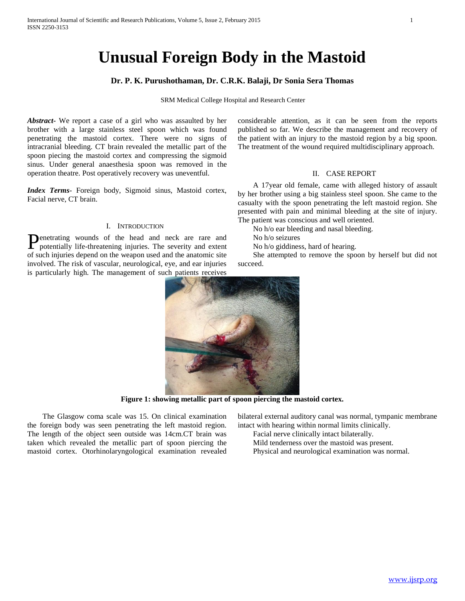# **Unusual Foreign Body in the Mastoid**

## **Dr. P. K. Purushothaman, Dr. C.R.K. Balaji, Dr Sonia Sera Thomas**

SRM Medical College Hospital and Research Center

*Abstract***-** We report a case of a girl who was assaulted by her brother with a large stainless steel spoon which was found penetrating the mastoid cortex. There were no signs of intracranial bleeding. CT brain revealed the metallic part of the spoon piecing the mastoid cortex and compressing the sigmoid sinus. Under general anaesthesia spoon was removed in the operation theatre. Post operatively recovery was uneventful.

*Index Terms*- Foreign body, Sigmoid sinus, Mastoid cortex, Facial nerve, CT brain.

## I. INTRODUCTION

Penetrating wounds of the head and neck are rare and potentially life-threatening injuries. The severity and extent potentially life-threatening injuries. The severity and extent of such injuries depend on the weapon used and the anatomic site involved. The risk of vascular, neurological, eye, and ear injuries is particularly high. The management of such patients receives

considerable attention, as it can be seen from the reports published so far. We describe the management and recovery of the patient with an injury to the mastoid region by a big spoon. The treatment of the wound required multidisciplinary approach.

#### II. CASE REPORT

 A 17year old female, came with alleged history of assault by her brother using a big stainless steel spoon. She came to the casualty with the spoon penetrating the left mastoid region. She presented with pain and minimal bleeding at the site of injury. The patient was conscious and well oriented.

No h/o ear bleeding and nasal bleeding.

No h/o seizures

No h/o giddiness, hard of hearing.

 She attempted to remove the spoon by herself but did not succeed.



**Figure 1: showing metallic part of spoon piercing the mastoid cortex.**

 The Glasgow coma scale was 15. On clinical examination the foreign body was seen penetrating the left mastoid region. The length of the object seen outside was 14cm.CT brain was taken which revealed the metallic part of spoon piercing the mastoid cortex. Otorhinolaryngological examination revealed bilateral external auditory canal was normal, tympanic membrane intact with hearing within normal limits clinically.

Facial nerve clinically intact bilaterally.

- Mild tenderness over the mastoid was present.
- Physical and neurological examination was normal.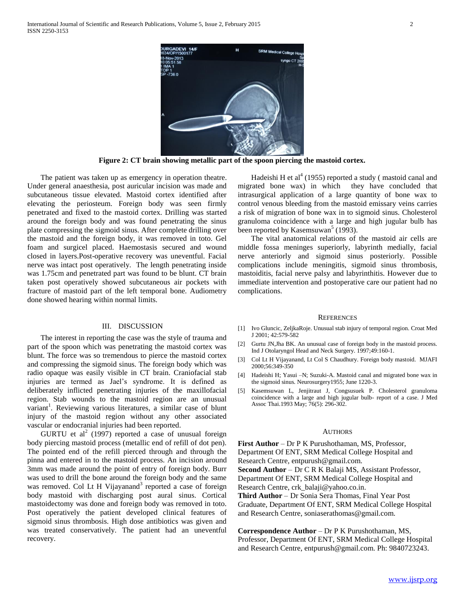

**Figure 2: CT brain showing metallic part of the spoon piercing the mastoid cortex.**

 The patient was taken up as emergency in operation theatre. Under general anaesthesia, post auricular incision was made and subcutaneous tissue elevated. Mastoid cortex identified after elevating the periosteum. Foreign body was seen firmly penetrated and fixed to the mastoid cortex. Drilling was started around the foreign body and was found penetrating the sinus plate compressing the sigmoid sinus. After complete drilling over the mastoid and the foreign body, it was removed in toto. Gel foam and surgicel placed. Haemostasis secured and wound closed in layers.Post-operative recovery was uneventful. Facial nerve was intact post operatively. The length penetrating inside was 1.75cm and penetrated part was found to be blunt. CT brain taken post operatively showed subcutaneous air pockets with fracture of mastoid part of the left temporal bone. Audiometry done showed hearing within normal limits.

### III. DISCUSSION

 The interest in reporting the case was the style of trauma and part of the spoon which was penetrating the mastoid cortex was blunt. The force was so tremendous to pierce the mastoid cortex and compressing the sigmoid sinus. The foreign body which was radio opaque was easily visible in CT brain. Craniofacial stab injuries are termed as Jael's syndrome. It is defined as deliberately inflicted penetrating injuries of the maxillofacial region. Stab wounds to the mastoid region are an unusual variant<sup>1</sup>. Reviewing various literatures, a similar case of blunt injury of the mastoid region without any other associated vascular or endocranial injuries had been reported.

GURTU et al<sup>2</sup> (1997) reported a case of unusual foreign body piercing mastoid process (metallic end of refill of dot pen). The pointed end of the refill pierced through and through the pinna and entered in to the mastoid process. An incision around 3mm was made around the point of entry of foreign body. Burr was used to drill the bone around the foreign body and the same was removed. Col Lt H Vijayanand<sup>3</sup> reported a case of foreign body mastoid with discharging post aural sinus. Cortical mastoidectomy was done and foreign body was removed in toto. Post operatively the patient developed clinical features of sigmoid sinus thrombosis. High dose antibiotics was given and was treated conservatively. The patient had an uneventful recovery.

Hadeishi H et al<sup>4</sup> (1955) reported a study (mastoid canal and migrated bone wax) in which they have concluded that intrasurgical application of a large quantity of bone wax to control venous bleeding from the mastoid emissary veins carries a risk of migration of bone wax in to sigmoid sinus. Cholesterol granuloma coincidence with a large and high jugular bulb has been reported by Kasemsuwan<sup>5</sup> (1993).

 The vital anatomical relations of the mastoid air cells are middle fossa meninges superiorly, labyrinth medially, facial nerve anteriorly and sigmoid sinus posteriorly. Possible complications include meningitis, sigmoid sinus thrombosis, mastoiditis, facial nerve palsy and labyrinthitis. However due to immediate intervention and postoperative care our patient had no complications.

#### **REFERENCES**

- [1] Ivo Gluncic, ZeljkaRoje. Unusual stab injury of temporal region. Croat Med J 2001; 42:579-582
- [2] Gurtu JN,Jha BK. An unusual case of foreign body in the mastoid process. Ind J Otolaryngol Head and Neck Surgery. 1997;49:160-1.
- [3] Col Lt H Vijayanand, Lt Col S Chaudhury. Foreign body mastoid. MJAFI 2000;56:349-350
- [4] Hadeishi H; Yasui –N; Suzuki-A. Mastoid canal and migrated bone wax in the sigmoid sinus. Neurosurgery1955; June 1220-3.
- [5] Kasemsuwan L, Jenjitraut J, Congsusuek P. Cholesterol granuloma coincidence with a large and high jugular bulb- report of a case. J Med Assoc Thai.1993 May; 76(5): 296-302.

#### **AUTHORS**

**First Author** – Dr P K Purushothaman, MS, Professor, Department Of ENT, SRM Medical College Hospital and Research Centre, entpurush@gmail.com. **Second Author** – Dr C R K Balaji MS, Assistant Professor, Department Of ENT, SRM Medical College Hospital and Research Centre, crk\_balaji@yahoo.co.in. **Third Author** – Dr Sonia Sera Thomas, Final Year Post

Graduate, Department Of ENT, SRM Medical College Hospital and Research Centre, soniaserathomas@gmail.com.

**Correspondence Author** – Dr P K Purushothaman, MS, Professor, Department Of ENT, SRM Medical College Hospital and Research Centre, entpurush@gmail.com. Ph: 9840723243.